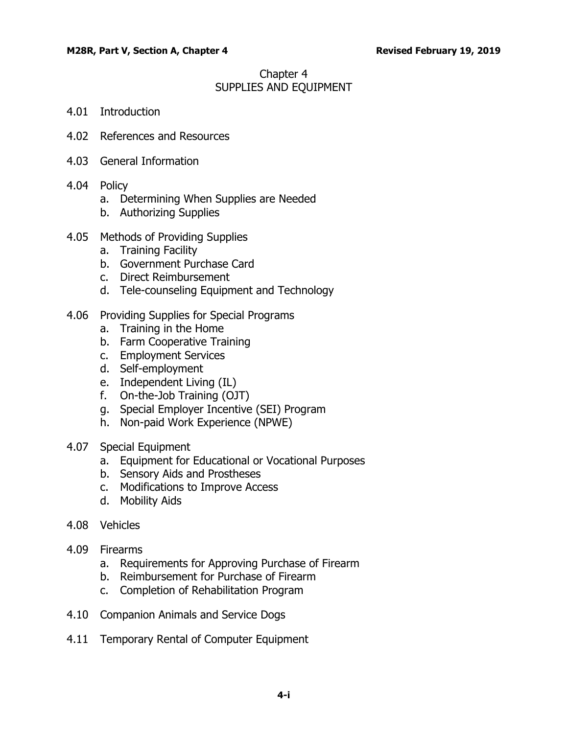# Chapter 4 SUPPLIES AND EQUIPMENT

- 4.01 [Introduction](#page-2-0)
- 4.02 [References and Resources](#page-2-1)
- 4.03 [General Information](#page-2-2)
- 4.04 [Policy](#page-3-0)
	- a. [Determining When Supplies are Needed](#page-3-1)
	- b. [Authorizing Supplies](#page-4-0)
- 4.05 [Methods of Providing Supplies](#page-6-0)
	- a. [Training Facility](#page-6-1)
	- b. [Government Purchase Card](#page-7-0)
	- c. [Direct Reimbursement](#page-7-1)
	- d. [Tele-counseling Equipment and Technology](#page-8-0)
- 4.06 [Providing Supplies for Special Programs](#page-8-1)
	- a. [Training in the Home](#page-8-2)
	- b. [Farm Cooperative Training](#page-9-0)
	- c. [Employment Services](#page-9-1)
	- d. [Self-employment](#page-10-0)
	- e. [Independent Living \(IL\)](#page-11-0)
	- f. [On-the-Job Training \(OJT\)](#page-11-1)
	- g. [Special Employer Incentive \(SEI\) Program](#page-12-0)
	- h. [Non-paid Work Experience \(NPWE\)](#page-12-1)
- 4.07 [Special Equipment](#page-12-2)
	- a. [Equipment for Educational or Vocational Purposes](#page-13-0)
	- b. [Sensory Aids and Prostheses](#page-13-1)
	- c. [Modifications to Improve Access](#page-13-2)
	- d. [Mobility Aids](#page-13-3)
- 4.08 [Vehicles](#page-14-0)
- 4.09 [Firearms](#page-14-1)
	- a. [Requirements for Approving Purchase of Firearm](#page-14-2)
	- b. [Reimbursement for Purchase of Firearm](#page-14-3)
	- c. [Completion of Rehabilitation Program](#page-15-0)
- 4.10 [Companion Animals and Service Dogs](#page-15-1)
- 4.11 [Temporary Rental of Computer Equipment](#page-15-2)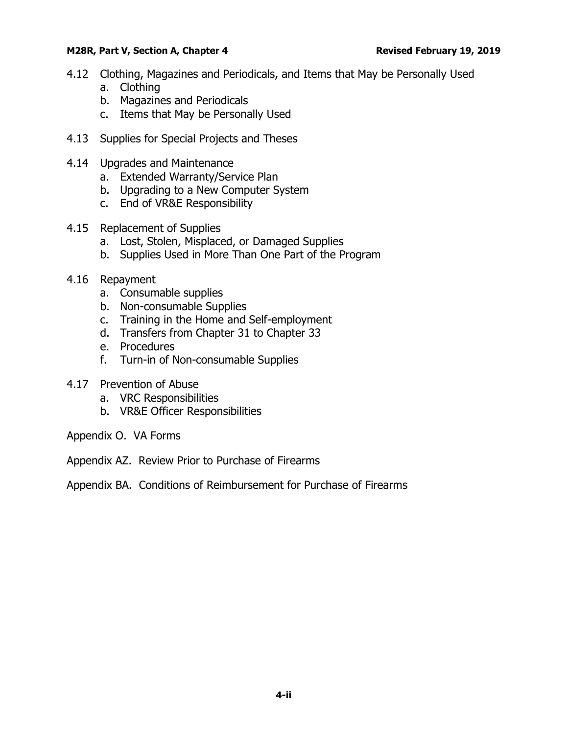- 4.12 [Clothing, Magazines and Periodicals, and Items that May be Personally Used](#page-16-0) a. [Clothing](#page-16-1)
	- b. [Magazines and Periodicals](#page-16-2)
	- c. [Items that May be Personally Used](#page-16-3)
- 4.13 [Supplies for Special Projects and Theses](#page-16-4)
- 4.14 [Upgrades and Maintenance](#page-16-5)
	- a. [Extended Warranty/Service Plan](#page-16-6)
	- b. [Upgrading to a New Computer System](#page-17-0)
	- c. [End of VR&E Responsibility](#page-17-1)
- 4.15 [Replacement of Supplies](#page-17-2)
	- a. [Lost, Stolen, Misplaced, or Damaged Supplies](#page-17-3)
	- b. [Supplies Used in More Than One Part of the Program](#page-18-0)
- 4.16 [Repayment](#page-18-1)
	- a. [Consumable supplies](#page-18-2)
	- b. [Non-consumable Supplies](#page-18-3)
	- c. [Training in the Home and Self-employment](#page-19-0)
	- d. [Transfers from Chapter 31 to Chapter 33](#page-20-0)
	- e. [Procedures](#page-20-1)
	- f. [Turn-in of Non-consumable Supplies](#page-21-0)
- 4.17 [Prevention of Abuse](#page-21-1)
	- a. [VRC Responsibilities](#page-21-2)
	- b. [VR&E Officer Responsibilities](#page-21-3)
- Appendix O. VA Forms
- Appendix AZ. Review Prior to Purchase of Firearms

Appendix BA. Conditions of Reimbursement for Purchase of Firearms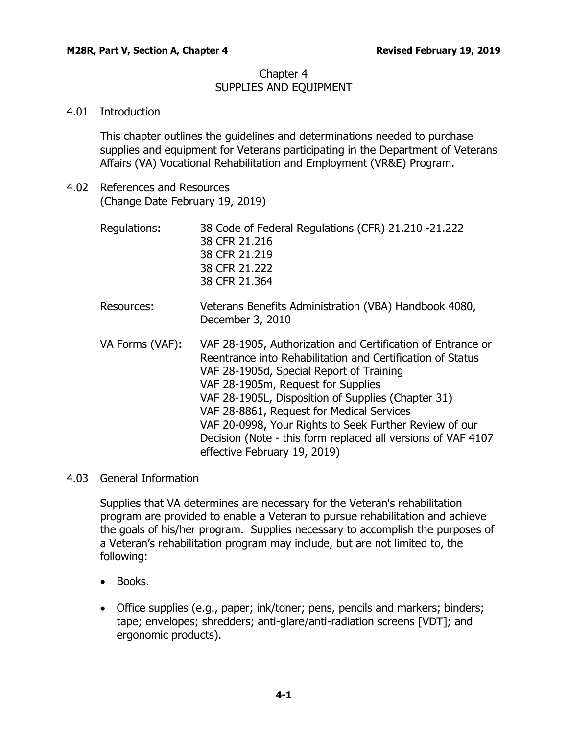# Chapter 4 SUPPLIES AND EQUIPMENT

# <span id="page-2-0"></span>4.01 Introduction

This chapter outlines the guidelines and determinations needed to purchase supplies and equipment for Veterans participating in the Department of Veterans Affairs (VA) Vocational Rehabilitation and Employment (VR&E) Program.

<span id="page-2-1"></span>4.02 References and Resources (Change Date February 19, 2019)

| Regulations: | 38 Code of Federal Regulations (CFR) 21.210 -21.222 |
|--------------|-----------------------------------------------------|
|              | 38 CFR 21.216                                       |
|              | 38 CFR 21,219                                       |
|              | 38 CFR 21.222                                       |
|              | 38 CFR 21.364                                       |
|              |                                                     |

- Resources: Veterans Benefits Administration (VBA) Handbook 4080, December 3, 2010
- VA Forms (VAF): VAF 28-1905, Authorization and Certification of Entrance or Reentrance into Rehabilitation and Certification of Status VAF 28-1905d, Special Report of Training VAF 28-1905m, Request for Supplies VAF 28-1905L, Disposition of Supplies (Chapter 31) VAF 28-8861, Request for Medical Services VAF 20-0998, Your Rights to Seek Further Review of our Decision (Note - this form replaced all versions of VAF 4107 effective February 19, 2019)

# <span id="page-2-2"></span>4.03 General Information

Supplies that VA determines are necessary for the Veteran's rehabilitation program are provided to enable a Veteran to pursue rehabilitation and achieve the goals of his/her program. Supplies necessary to accomplish the purposes of a Veteran's rehabilitation program may include, but are not limited to, the following:

- Books.
- Office supplies (e.g., paper; ink/toner; pens, pencils and markers; binders; tape; envelopes; shredders; anti-glare/anti-radiation screens [VDT]; and ergonomic products).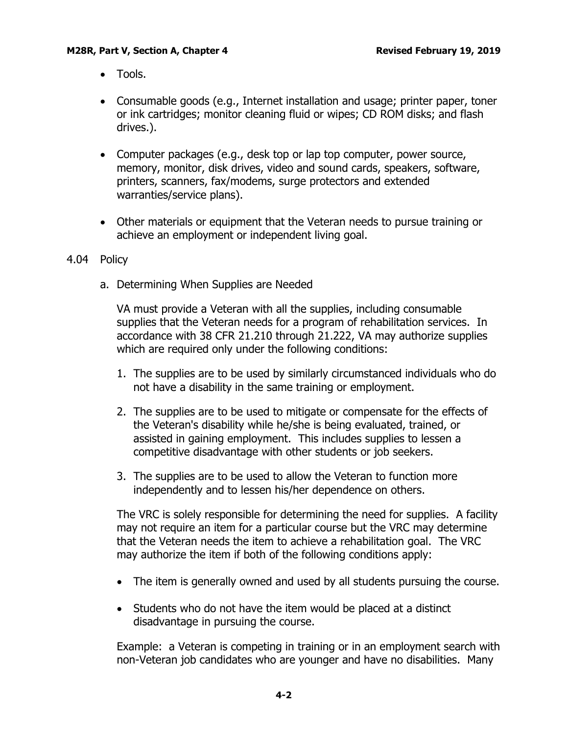- Tools.
- Consumable goods (e.g., Internet installation and usage; printer paper, toner or ink cartridges; monitor cleaning fluid or wipes; CD ROM disks; and flash drives.).
- Computer packages (e.g., desk top or lap top computer, power source, memory, monitor, disk drives, video and sound cards, speakers, software, printers, scanners, fax/modems, surge protectors and extended warranties/service plans).
- Other materials or equipment that the Veteran needs to pursue training or achieve an employment or independent living goal.

#### <span id="page-3-1"></span><span id="page-3-0"></span>4.04 Policy

a. Determining When Supplies are Needed

VA must provide a Veteran with all the supplies, including consumable supplies that the Veteran needs for a program of rehabilitation services. In accordance with 38 CFR 21.210 through 21.222, VA may authorize supplies which are required only under the following conditions:

- 1. The supplies are to be used by similarly circumstanced individuals who do not have a disability in the same training or employment.
- 2. The supplies are to be used to mitigate or compensate for the effects of the Veteran's disability while he/she is being evaluated, trained, or assisted in gaining employment. This includes supplies to lessen a competitive disadvantage with other students or job seekers.
- 3. The supplies are to be used to allow the Veteran to function more independently and to lessen his/her dependence on others.

The VRC is solely responsible for determining the need for supplies. A facility may not require an item for a particular course but the VRC may determine that the Veteran needs the item to achieve a rehabilitation goal. The VRC may authorize the item if both of the following conditions apply:

- The item is generally owned and used by all students pursuing the course.
- Students who do not have the item would be placed at a distinct disadvantage in pursuing the course.

Example: a Veteran is competing in training or in an employment search with non-Veteran job candidates who are younger and have no disabilities. Many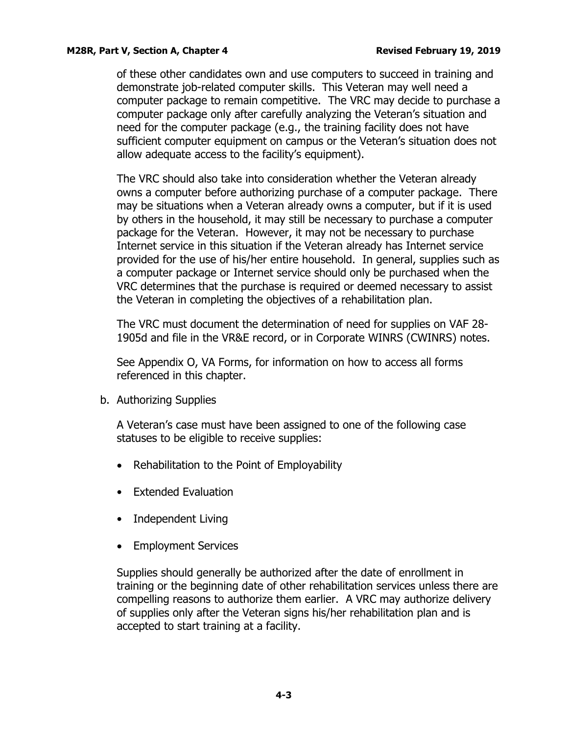of these other candidates own and use computers to succeed in training and demonstrate job-related computer skills. This Veteran may well need a computer package to remain competitive. The VRC may decide to purchase a computer package only after carefully analyzing the Veteran's situation and need for the computer package (e.g., the training facility does not have sufficient computer equipment on campus or the Veteran's situation does not allow adequate access to the facility's equipment).

The VRC should also take into consideration whether the Veteran already owns a computer before authorizing purchase of a computer package. There may be situations when a Veteran already owns a computer, but if it is used by others in the household, it may still be necessary to purchase a computer package for the Veteran. However, it may not be necessary to purchase Internet service in this situation if the Veteran already has Internet service provided for the use of his/her entire household. In general, supplies such as a computer package or Internet service should only be purchased when the VRC determines that the purchase is required or deemed necessary to assist the Veteran in completing the objectives of a rehabilitation plan.

The VRC must document the determination of need for supplies on VAF 28- 1905d and file in the VR&E record, or in Corporate WINRS (CWINRS) notes.

See Appendix O, VA Forms, for information on how to access all forms referenced in this chapter.

<span id="page-4-0"></span>b. Authorizing Supplies

A Veteran's case must have been assigned to one of the following case statuses to be eligible to receive supplies:

- Rehabilitation to the Point of Employability
- Extended Evaluation
- Independent Living
- Employment Services

Supplies should generally be authorized after the date of enrollment in training or the beginning date of other rehabilitation services unless there are compelling reasons to authorize them earlier. A VRC may authorize delivery of supplies only after the Veteran signs his/her rehabilitation plan and is accepted to start training at a facility.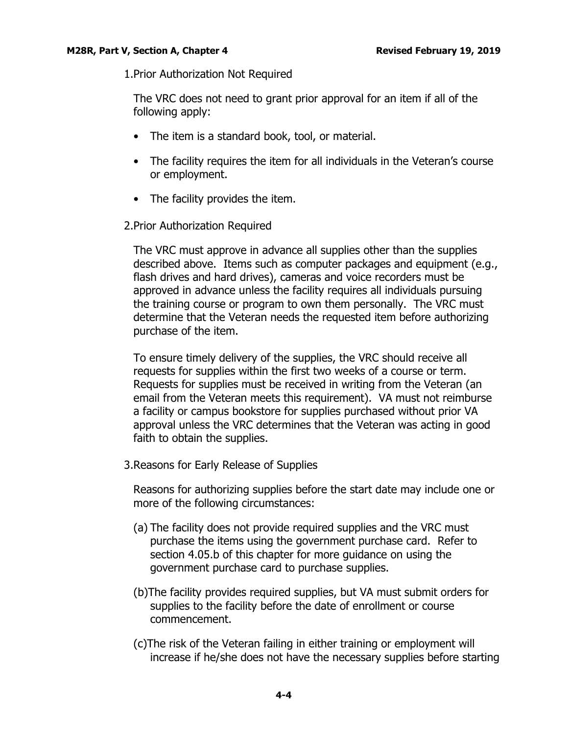1.Prior Authorization Not Required

The VRC does not need to grant prior approval for an item if all of the following apply:

- The item is a standard book, tool, or material.
- The facility requires the item for all individuals in the Veteran's course or employment.
- The facility provides the item.
- 2.Prior Authorization Required

The VRC must approve in advance all supplies other than the supplies described above. Items such as computer packages and equipment (e.g., flash drives and hard drives), cameras and voice recorders must be approved in advance unless the facility requires all individuals pursuing the training course or program to own them personally. The VRC must determine that the Veteran needs the requested item before authorizing purchase of the item.

To ensure timely delivery of the supplies, the VRC should receive all requests for supplies within the first two weeks of a course or term. Requests for supplies must be received in writing from the Veteran (an email from the Veteran meets this requirement). VA must not reimburse a facility or campus bookstore for supplies purchased without prior VA approval unless the VRC determines that the Veteran was acting in good faith to obtain the supplies.

3.Reasons for Early Release of Supplies

Reasons for authorizing supplies before the start date may include one or more of the following circumstances:

- (a) The facility does not provide required supplies and the VRC must purchase the items using the government purchase card. Refer to section 4.05.b of this chapter for more guidance on using the government purchase card to purchase supplies.
- (b)The facility provides required supplies, but VA must submit orders for supplies to the facility before the date of enrollment or course commencement.
- (c)The risk of the Veteran failing in either training or employment will increase if he/she does not have the necessary supplies before starting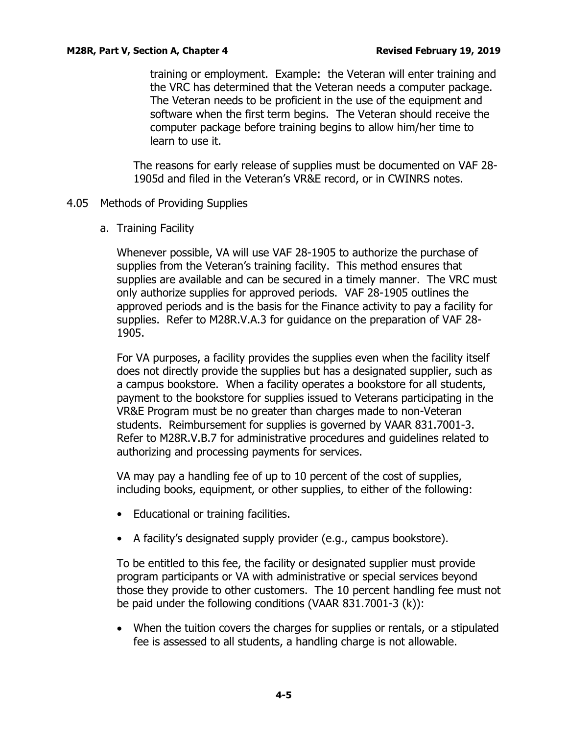training or employment. Example: the Veteran will enter training and the VRC has determined that the Veteran needs a computer package. The Veteran needs to be proficient in the use of the equipment and software when the first term begins. The Veteran should receive the computer package before training begins to allow him/her time to learn to use it.

The reasons for early release of supplies must be documented on VAF 28- 1905d and filed in the Veteran's VR&E record, or in CWINRS notes.

- <span id="page-6-1"></span><span id="page-6-0"></span>4.05 Methods of Providing Supplies
	- a. Training Facility

Whenever possible, VA will use VAF 28-1905 to authorize the purchase of supplies from the Veteran's training facility. This method ensures that supplies are available and can be secured in a timely manner. The VRC must only authorize supplies for approved periods. VAF 28-1905 outlines the approved periods and is the basis for the Finance activity to pay a facility for supplies. Refer to M28R.V.A.3 for guidance on the preparation of VAF 28- 1905.

For VA purposes, a facility provides the supplies even when the facility itself does not directly provide the supplies but has a designated supplier, such as a campus bookstore. When a facility operates a bookstore for all students, payment to the bookstore for supplies issued to Veterans participating in the VR&E Program must be no greater than charges made to non-Veteran students. Reimbursement for supplies is governed by VAAR 831.7001-3. Refer to M28R.V.B.7 for administrative procedures and guidelines related to authorizing and processing payments for services.

VA may pay a handling fee of up to 10 percent of the cost of supplies, including books, equipment, or other supplies, to either of the following:

- Educational or training facilities.
- A facility's designated supply provider (e.g., campus bookstore).

To be entitled to this fee, the facility or designated supplier must provide program participants or VA with administrative or special services beyond those they provide to other customers. The 10 percent handling fee must not be paid under the following conditions (VAAR 831.7001-3 (k)):

• When the tuition covers the charges for supplies or rentals, or a stipulated fee is assessed to all students, a handling charge is not allowable.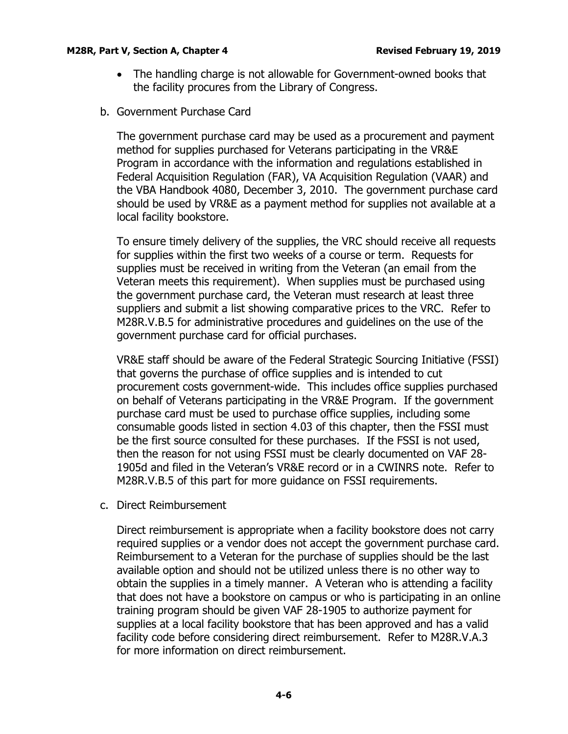- The handling charge is not allowable for Government-owned books that the facility procures from the Library of Congress.
- <span id="page-7-0"></span>b. Government Purchase Card

The government purchase card may be used as a procurement and payment method for supplies purchased for Veterans participating in the VR&E Program in accordance with the information and regulations established in Federal Acquisition Regulation (FAR), VA Acquisition Regulation (VAAR) and the VBA Handbook 4080, December 3, 2010. The government purchase card should be used by VR&E as a payment method for supplies not available at a local facility bookstore.

To ensure timely delivery of the supplies, the VRC should receive all requests for supplies within the first two weeks of a course or term. Requests for supplies must be received in writing from the Veteran (an email from the Veteran meets this requirement). When supplies must be purchased using the government purchase card, the Veteran must research at least three suppliers and submit a list showing comparative prices to the VRC. Refer to M28R.V.B.5 for administrative procedures and guidelines on the use of the government purchase card for official purchases.

VR&E staff should be aware of the Federal Strategic Sourcing Initiative (FSSI) that governs the purchase of office supplies and is intended to cut procurement costs government-wide. This includes office supplies purchased on behalf of Veterans participating in the VR&E Program. If the government purchase card must be used to purchase office supplies, including some consumable goods listed in section 4.03 of this chapter, then the FSSI must be the first source consulted for these purchases. If the FSSI is not used, then the reason for not using FSSI must be clearly documented on VAF 28- 1905d and filed in the Veteran's VR&E record or in a CWINRS note. Refer to M28R.V.B.5 of this part for more guidance on FSSI requirements.

<span id="page-7-1"></span>c. Direct Reimbursement

Direct reimbursement is appropriate when a facility bookstore does not carry required supplies or a vendor does not accept the government purchase card. Reimbursement to a Veteran for the purchase of supplies should be the last available option and should not be utilized unless there is no other way to obtain the supplies in a timely manner. A Veteran who is attending a facility that does not have a bookstore on campus or who is participating in an online training program should be given VAF 28-1905 to authorize payment for supplies at a local facility bookstore that has been approved and has a valid facility code before considering direct reimbursement. Refer to M28R.V.A.3 for more information on direct reimbursement.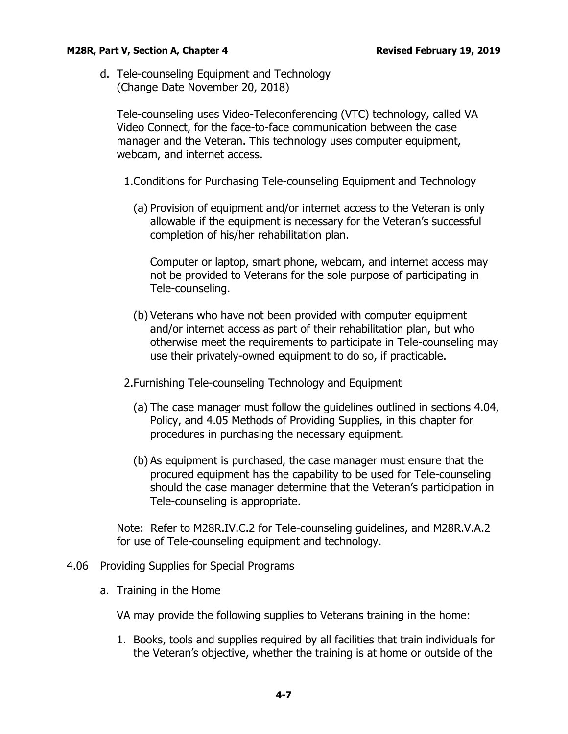<span id="page-8-0"></span>d. Tele-counseling Equipment and Technology (Change Date November 20, 2018)

Tele-counseling uses Video-Teleconferencing (VTC) technology, called VA Video Connect, for the face-to-face communication between the case manager and the Veteran. This technology uses computer equipment, webcam, and internet access.

1.Conditions for Purchasing Tele-counseling Equipment and Technology

(a) Provision of equipment and/or internet access to the Veteran is only allowable if the equipment is necessary for the Veteran's successful completion of his/her rehabilitation plan.

Computer or laptop, smart phone, webcam, and internet access may not be provided to Veterans for the sole purpose of participating in Tele-counseling.

- (b) Veterans who have not been provided with computer equipment and/or internet access as part of their rehabilitation plan, but who otherwise meet the requirements to participate in Tele-counseling may use their privately-owned equipment to do so, if practicable.
- 2.Furnishing Tele-counseling Technology and Equipment
	- (a) The case manager must follow the guidelines outlined in sections 4.04, Policy, and 4.05 Methods of Providing Supplies, in this chapter for procedures in purchasing the necessary equipment.
	- (b) As equipment is purchased, the case manager must ensure that the procured equipment has the capability to be used for Tele-counseling should the case manager determine that the Veteran's participation in Tele-counseling is appropriate.

Note: Refer to M28R.IV.C.2 for Tele-counseling guidelines, and M28R.V.A.2 for use of Tele-counseling equipment and technology.

# <span id="page-8-2"></span><span id="page-8-1"></span>4.06 Providing Supplies for Special Programs

a. Training in the Home

VA may provide the following supplies to Veterans training in the home:

1. Books, tools and supplies required by all facilities that train individuals for the Veteran's objective, whether the training is at home or outside of the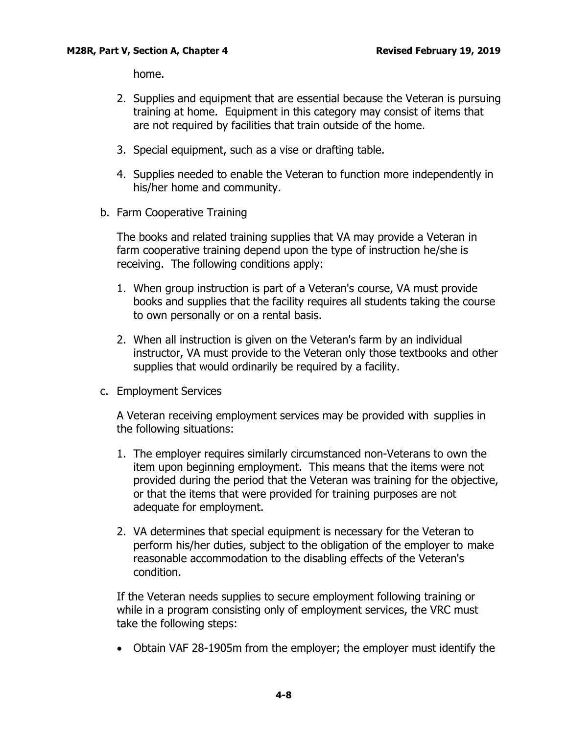home.

- 2. Supplies and equipment that are essential because the Veteran is pursuing training at home. Equipment in this category may consist of items that are not required by facilities that train outside of the home.
- 3. Special equipment, such as a vise or drafting table.
- 4. Supplies needed to enable the Veteran to function more independently in his/her home and community.
- <span id="page-9-0"></span>b. Farm Cooperative Training

The books and related training supplies that VA may provide a Veteran in farm cooperative training depend upon the type of instruction he/she is receiving. The following conditions apply:

- 1. When group instruction is part of a Veteran's course, VA must provide books and supplies that the facility requires all students taking the course to own personally or on a rental basis.
- 2. When all instruction is given on the Veteran's farm by an individual instructor, VA must provide to the Veteran only those textbooks and other supplies that would ordinarily be required by a facility.
- <span id="page-9-1"></span>c. Employment Services

A Veteran receiving employment services may be provided with supplies in the following situations:

- 1. The employer requires similarly circumstanced non-Veterans to own the item upon beginning employment. This means that the items were not provided during the period that the Veteran was training for the objective, or that the items that were provided for training purposes are not adequate for employment.
- 2. VA determines that special equipment is necessary for the Veteran to perform his/her duties, subject to the obligation of the employer to make reasonable accommodation to the disabling effects of the Veteran's condition.

If the Veteran needs supplies to secure employment following training or while in a program consisting only of employment services, the VRC must take the following steps:

• Obtain VAF 28-1905m from the employer; the employer must identify the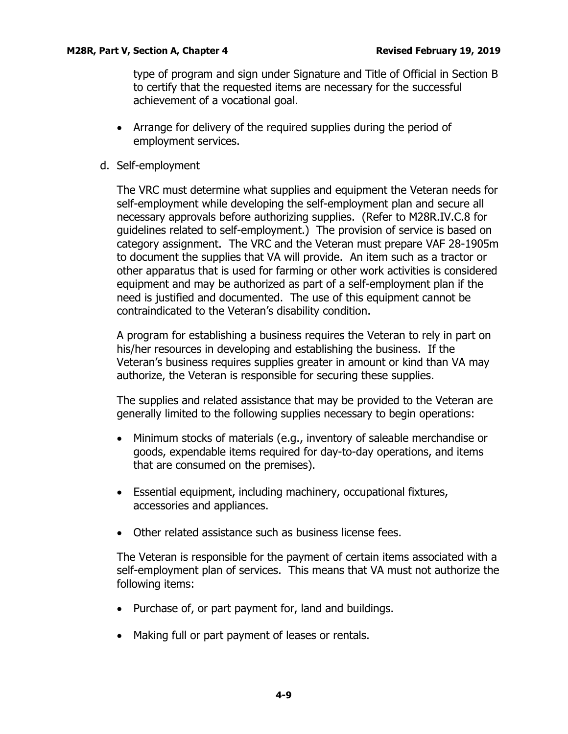type of program and sign under Signature and Title of Official in Section B to certify that the requested items are necessary for the successful achievement of a vocational goal.

- Arrange for delivery of the required supplies during the period of employment services.
- <span id="page-10-0"></span>d. Self-employment

The VRC must determine what supplies and equipment the Veteran needs for self-employment while developing the self-employment plan and secure all necessary approvals before authorizing supplies. (Refer to M28R.IV.C.8 for guidelines related to self-employment.) The provision of service is based on category assignment. The VRC and the Veteran must prepare VAF 28-1905m to document the supplies that VA will provide. An item such as a tractor or other apparatus that is used for farming or other work activities is considered equipment and may be authorized as part of a self-employment plan if the need is justified and documented. The use of this equipment cannot be contraindicated to the Veteran's disability condition.

A program for establishing a business requires the Veteran to rely in part on his/her resources in developing and establishing the business. If the Veteran's business requires supplies greater in amount or kind than VA may authorize, the Veteran is responsible for securing these supplies.

The supplies and related assistance that may be provided to the Veteran are generally limited to the following supplies necessary to begin operations:

- Minimum stocks of materials (e.g., inventory of saleable merchandise or goods, expendable items required for day-to-day operations, and items that are consumed on the premises).
- Essential equipment, including machinery, occupational fixtures, accessories and appliances.
- Other related assistance such as business license fees.

The Veteran is responsible for the payment of certain items associated with a self-employment plan of services. This means that VA must not authorize the following items:

- Purchase of, or part payment for, land and buildings.
- Making full or part payment of leases or rentals.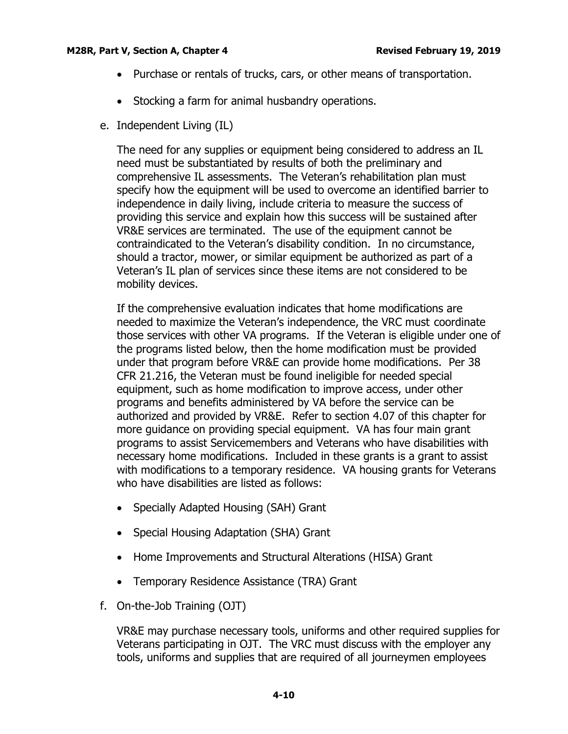- Purchase or rentals of trucks, cars, or other means of transportation.
- Stocking a farm for animal husbandry operations.
- <span id="page-11-0"></span>e. Independent Living (IL)

The need for any supplies or equipment being considered to address an IL need must be substantiated by results of both the preliminary and comprehensive IL assessments. The Veteran's rehabilitation plan must specify how the equipment will be used to overcome an identified barrier to independence in daily living, include criteria to measure the success of providing this service and explain how this success will be sustained after VR&E services are terminated. The use of the equipment cannot be contraindicated to the Veteran's disability condition. In no circumstance, should a tractor, mower, or similar equipment be authorized as part of a Veteran's IL plan of services since these items are not considered to be mobility devices.

If the comprehensive evaluation indicates that home modifications are needed to maximize the Veteran's independence, the VRC must coordinate those services with other VA programs. If the Veteran is eligible under one of the programs listed below, then the home modification must be provided under that program before VR&E can provide home modifications. Per 38 CFR 21.216, the Veteran must be found ineligible for needed special equipment, such as home modification to improve access, under other programs and benefits administered by VA before the service can be authorized and provided by VR&E. Refer to section 4.07 of this chapter for more guidance on providing special equipment. VA has four main grant programs to assist Servicemembers and Veterans who have disabilities with necessary home modifications. Included in these grants is a grant to assist with modifications to a temporary residence. VA housing grants for Veterans who have disabilities are listed as follows:

- Specially Adapted Housing (SAH) Grant
- Special Housing Adaptation (SHA) Grant
- Home Improvements and Structural Alterations (HISA) Grant
- Temporary Residence Assistance (TRA) Grant
- <span id="page-11-1"></span>f. On-the-Job Training (OJT)

VR&E may purchase necessary tools, uniforms and other required supplies for Veterans participating in OJT. The VRC must discuss with the employer any tools, uniforms and supplies that are required of all journeymen employees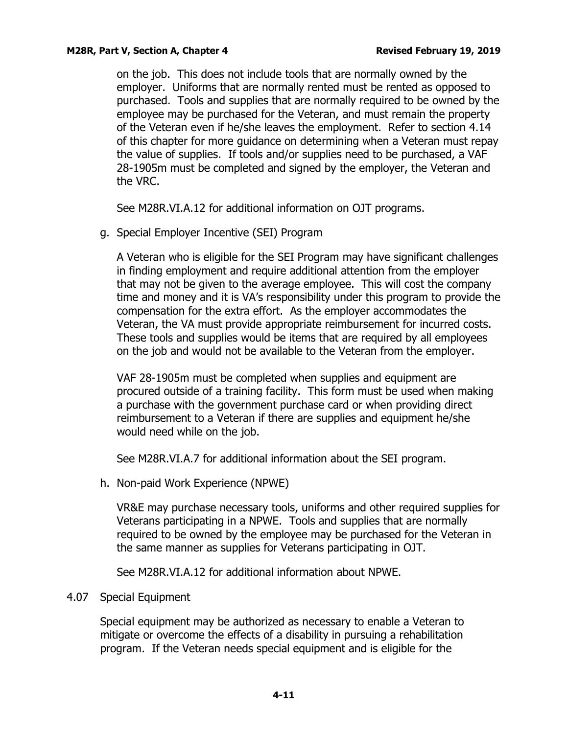on the job. This does not include tools that are normally owned by the employer. Uniforms that are normally rented must be rented as opposed to purchased. Tools and supplies that are normally required to be owned by the employee may be purchased for the Veteran, and must remain the property of the Veteran even if he/she leaves the employment. Refer to section 4.14 of this chapter for more guidance on determining when a Veteran must repay the value of supplies. If tools and/or supplies need to be purchased, a VAF 28-1905m must be completed and signed by the employer, the Veteran and the VRC.

See M28R.VI.A.12 for additional information on OJT programs.

<span id="page-12-0"></span>g. Special Employer Incentive (SEI) Program

A Veteran who is eligible for the SEI Program may have significant challenges in finding employment and require additional attention from the employer that may not be given to the average employee. This will cost the company time and money and it is VA's responsibility under this program to provide the compensation for the extra effort. As the employer accommodates the Veteran, the VA must provide appropriate reimbursement for incurred costs. These tools and supplies would be items that are required by all employees on the job and would not be available to the Veteran from the employer.

VAF 28-1905m must be completed when supplies and equipment are procured outside of a training facility. This form must be used when making a purchase with the government purchase card or when providing direct reimbursement to a Veteran if there are supplies and equipment he/she would need while on the job.

See M28R.VI.A.7 for additional information about the SEI program.

<span id="page-12-1"></span>h. Non-paid Work Experience (NPWE)

VR&E may purchase necessary tools, uniforms and other required supplies for Veterans participating in a NPWE. Tools and supplies that are normally required to be owned by the employee may be purchased for the Veteran in the same manner as supplies for Veterans participating in OJT.

See M28R.VI.A.12 for additional information about NPWE.

# <span id="page-12-2"></span>4.07 Special Equipment

Special equipment may be authorized as necessary to enable a Veteran to mitigate or overcome the effects of a disability in pursuing a rehabilitation program. If the Veteran needs special equipment and is eligible for the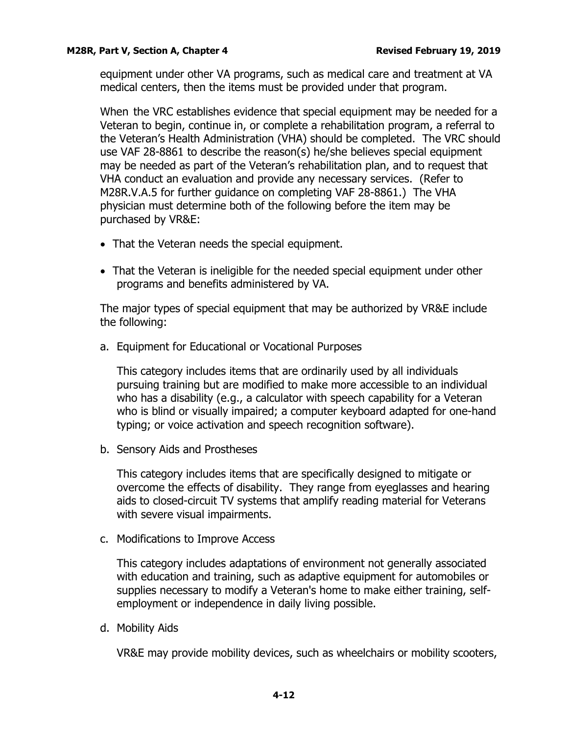equipment under other VA programs, such as medical care and treatment at VA medical centers, then the items must be provided under that program.

When the VRC establishes evidence that special equipment may be needed for a Veteran to begin, continue in, or complete a rehabilitation program, a referral to the Veteran's Health Administration (VHA) should be completed. The VRC should use VAF 28-8861 to describe the reason(s) he/she believes special equipment may be needed as part of the Veteran's rehabilitation plan, and to request that VHA conduct an evaluation and provide any necessary services. (Refer to M28R.V.A.5 for further guidance on completing VAF 28-8861.) The VHA physician must determine both of the following before the item may be purchased by VR&E:

- That the Veteran needs the special equipment.
- That the Veteran is ineligible for the needed special equipment under other programs and benefits administered by VA.

The major types of special equipment that may be authorized by VR&E include the following:

<span id="page-13-0"></span>a. Equipment for Educational or Vocational Purposes

This category includes items that are ordinarily used by all individuals pursuing training but are modified to make more accessible to an individual who has a disability (e.g., a calculator with speech capability for a Veteran who is blind or visually impaired; a computer keyboard adapted for one-hand typing; or voice activation and speech recognition software).

<span id="page-13-1"></span>b. Sensory Aids and Prostheses

This category includes items that are specifically designed to mitigate or overcome the effects of disability. They range from eyeglasses and hearing aids to closed-circuit TV systems that amplify reading material for Veterans with severe visual impairments.

<span id="page-13-2"></span>c. Modifications to Improve Access

This category includes adaptations of environment not generally associated with education and training, such as adaptive equipment for automobiles or supplies necessary to modify a Veteran's home to make either training, selfemployment or independence in daily living possible.

<span id="page-13-3"></span>d. Mobility Aids

VR&E may provide mobility devices, such as wheelchairs or mobility scooters,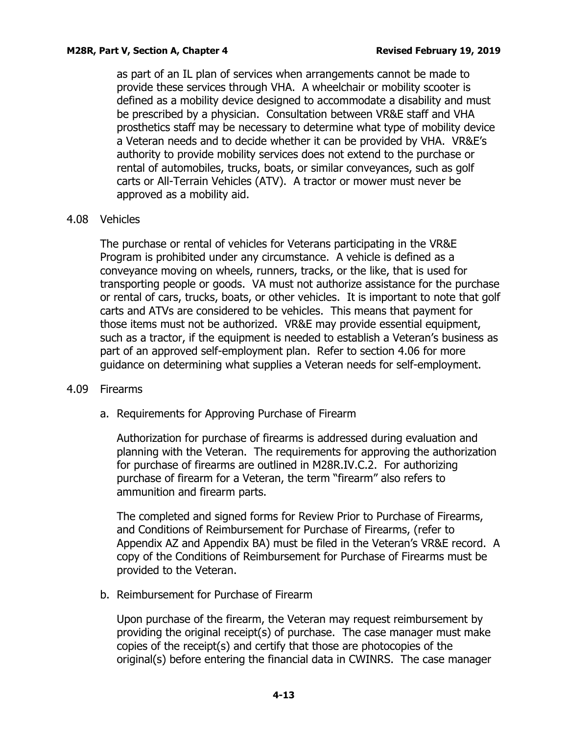as part of an IL plan of services when arrangements cannot be made to provide these services through VHA. A wheelchair or mobility scooter is defined as a mobility device designed to accommodate a disability and must be prescribed by a physician. Consultation between VR&E staff and VHA prosthetics staff may be necessary to determine what type of mobility device a Veteran needs and to decide whether it can be provided by VHA. VR&E's authority to provide mobility services does not extend to the purchase or rental of automobiles, trucks, boats, or similar conveyances, such as golf carts or All-Terrain Vehicles (ATV). A tractor or mower must never be approved as a mobility aid.

# <span id="page-14-0"></span>4.08 Vehicles

The purchase or rental of vehicles for Veterans participating in the VR&E Program is prohibited under any circumstance. A vehicle is defined as a conveyance moving on wheels, runners, tracks, or the like, that is used for transporting people or goods. VA must not authorize assistance for the purchase or rental of cars, trucks, boats, or other vehicles. It is important to note that golf carts and ATVs are considered to be vehicles. This means that payment for those items must not be authorized. VR&E may provide essential equipment, such as a tractor, if the equipment is needed to establish a Veteran's business as part of an approved self-employment plan. Refer to section 4.06 for more guidance on determining what supplies a Veteran needs for self-employment.

# <span id="page-14-2"></span><span id="page-14-1"></span>4.09 Firearms

a. Requirements for Approving Purchase of Firearm

Authorization for purchase of firearms is addressed during evaluation and planning with the Veteran. The requirements for approving the authorization for purchase of firearms are outlined in M28R.IV.C.2. For authorizing purchase of firearm for a Veteran, the term "firearm" also refers to ammunition and firearm parts.

The completed and signed forms for Review Prior to Purchase of Firearms, and Conditions of Reimbursement for Purchase of Firearms, (refer to Appendix AZ and Appendix BA) must be filed in the Veteran's VR&E record. A copy of the Conditions of Reimbursement for Purchase of Firearms must be provided to the Veteran.

<span id="page-14-3"></span>b. Reimbursement for Purchase of Firearm

Upon purchase of the firearm, the Veteran may request reimbursement by providing the original receipt(s) of purchase. The case manager must make copies of the receipt(s) and certify that those are photocopies of the original(s) before entering the financial data in CWINRS. The case manager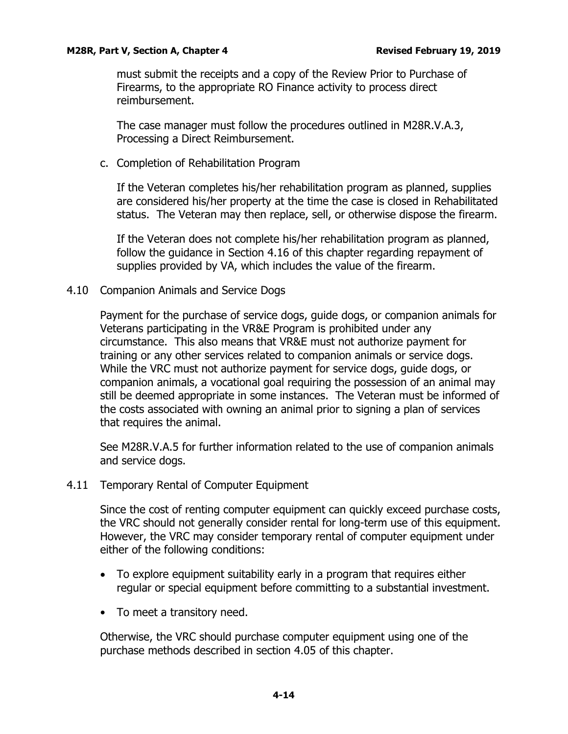must submit the receipts and a copy of the Review Prior to Purchase of Firearms, to the appropriate RO Finance activity to process direct reimbursement.

The case manager must follow the procedures outlined in M28R.V.A.3, Processing a Direct Reimbursement.

<span id="page-15-0"></span>c. Completion of Rehabilitation Program

If the Veteran completes his/her rehabilitation program as planned, supplies are considered his/her property at the time the case is closed in Rehabilitated status. The Veteran may then replace, sell, or otherwise dispose the firearm.

If the Veteran does not complete his/her rehabilitation program as planned, follow the guidance in Section 4.16 of this chapter regarding repayment of supplies provided by VA, which includes the value of the firearm.

<span id="page-15-1"></span>4.10 Companion Animals and Service Dogs

Payment for the purchase of service dogs, guide dogs, or companion animals for Veterans participating in the VR&E Program is prohibited under any circumstance. This also means that VR&E must not authorize payment for training or any other services related to companion animals or service dogs. While the VRC must not authorize payment for service dogs, guide dogs, or companion animals, a vocational goal requiring the possession of an animal may still be deemed appropriate in some instances. The Veteran must be informed of the costs associated with owning an animal prior to signing a plan of services that requires the animal.

See M28R.V.A.5 for further information related to the use of companion animals and service dogs.

<span id="page-15-2"></span>4.11 Temporary Rental of Computer Equipment

Since the cost of renting computer equipment can quickly exceed purchase costs, the VRC should not generally consider rental for long-term use of this equipment. However, the VRC may consider temporary rental of computer equipment under either of the following conditions:

- To explore equipment suitability early in a program that requires either regular or special equipment before committing to a substantial investment.
- To meet a transitory need.

Otherwise, the VRC should purchase computer equipment using one of the purchase methods described in section 4.05 of this chapter.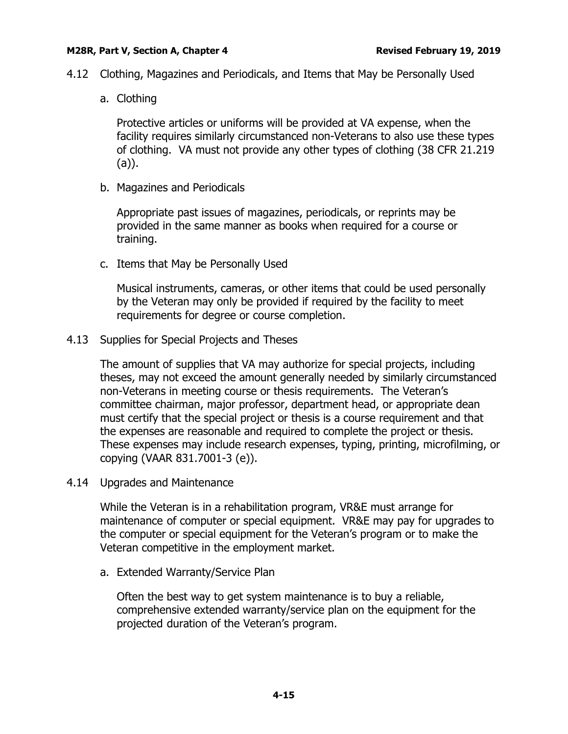- <span id="page-16-1"></span><span id="page-16-0"></span>4.12 Clothing, Magazines and Periodicals, and Items that May be Personally Used
	- a. Clothing

Protective articles or uniforms will be provided at VA expense, when the facility requires similarly circumstanced non-Veterans to also use these types of clothing. VA must not provide any other types of clothing (38 CFR 21.219 (a)).

<span id="page-16-2"></span>b. Magazines and Periodicals

Appropriate past issues of magazines, periodicals, or reprints may be provided in the same manner as books when required for a course or training.

<span id="page-16-3"></span>c. Items that May be Personally Used

Musical instruments, cameras, or other items that could be used personally by the Veteran may only be provided if required by the facility to meet requirements for degree or course completion.

<span id="page-16-4"></span>4.13 Supplies for Special Projects and Theses

The amount of supplies that VA may authorize for special projects, including theses, may not exceed the amount generally needed by similarly circumstanced non-Veterans in meeting course or thesis requirements. The Veteran's committee chairman, major professor, department head, or appropriate dean must certify that the special project or thesis is a course requirement and that the expenses are reasonable and required to complete the project or thesis. These expenses may include research expenses, typing, printing, microfilming, or copying (VAAR 831.7001-3 (e)).

<span id="page-16-5"></span>4.14 Upgrades and Maintenance

While the Veteran is in a rehabilitation program, VR&E must arrange for maintenance of computer or special equipment. VR&E may pay for upgrades to the computer or special equipment for the Veteran's program or to make the Veteran competitive in the employment market.

<span id="page-16-6"></span>a. Extended Warranty/Service Plan

Often the best way to get system maintenance is to buy a reliable, comprehensive extended warranty/service plan on the equipment for the projected duration of the Veteran's program.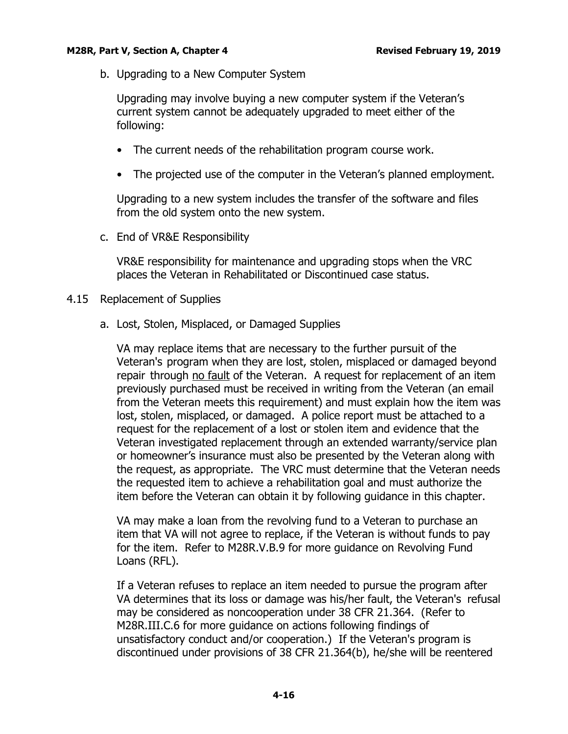<span id="page-17-0"></span>b. Upgrading to a New Computer System

Upgrading may involve buying a new computer system if the Veteran's current system cannot be adequately upgraded to meet either of the following:

- The current needs of the rehabilitation program course work.
- The projected use of the computer in the Veteran's planned employment.

Upgrading to a new system includes the transfer of the software and files from the old system onto the new system.

<span id="page-17-1"></span>c. End of VR&E Responsibility

VR&E responsibility for maintenance and upgrading stops when the VRC places the Veteran in Rehabilitated or Discontinued case status.

- <span id="page-17-3"></span><span id="page-17-2"></span>4.15 Replacement of Supplies
	- a. Lost, Stolen, Misplaced, or Damaged Supplies

VA may replace items that are necessary to the further pursuit of the Veteran's program when they are lost, stolen, misplaced or damaged beyond repair through no fault of the Veteran. A request for replacement of an item previously purchased must be received in writing from the Veteran (an email from the Veteran meets this requirement) and must explain how the item was lost, stolen, misplaced, or damaged. A police report must be attached to a request for the replacement of a lost or stolen item and evidence that the Veteran investigated replacement through an extended warranty/service plan or homeowner's insurance must also be presented by the Veteran along with the request, as appropriate. The VRC must determine that the Veteran needs the requested item to achieve a rehabilitation goal and must authorize the item before the Veteran can obtain it by following guidance in this chapter.

VA may make a loan from the revolving fund to a Veteran to purchase an item that VA will not agree to replace, if the Veteran is without funds to pay for the item. Refer to M28R.V.B.9 for more guidance on Revolving Fund Loans (RFL).

If a Veteran refuses to replace an item needed to pursue the program after VA determines that its loss or damage was his/her fault, the Veteran's refusal may be considered as noncooperation under 38 CFR 21.364. (Refer to M28R.III.C.6 for more guidance on actions following findings of unsatisfactory conduct and/or cooperation.) If the Veteran's program is discontinued under provisions of 38 CFR 21.364(b), he/she will be reentered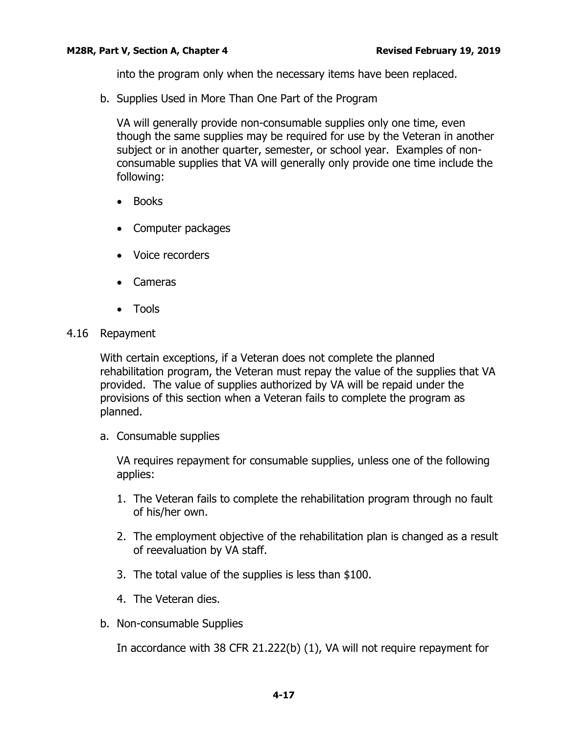into the program only when the necessary items have been replaced.

<span id="page-18-0"></span>b. Supplies Used in More Than One Part of the Program

VA will generally provide non-consumable supplies only one time, even though the same supplies may be required for use by the Veteran in another subject or in another quarter, semester, or school year. Examples of nonconsumable supplies that VA will generally only provide one time include the following:

- Books
- Computer packages
- Voice recorders
- Cameras
- Tools
- <span id="page-18-1"></span>4.16 Repayment

With certain exceptions, if a Veteran does not complete the planned rehabilitation program, the Veteran must repay the value of the supplies that VA provided. The value of supplies authorized by VA will be repaid under the provisions of this section when a Veteran fails to complete the program as planned.

<span id="page-18-2"></span>a. Consumable supplies

VA requires repayment for consumable supplies, unless one of the following applies:

- 1. The Veteran fails to complete the rehabilitation program through no fault of his/her own.
- 2. The employment objective of the rehabilitation plan is changed as a result of reevaluation by VA staff.
- 3. The total value of the supplies is less than \$100.
- 4. The Veteran dies.
- <span id="page-18-3"></span>b. Non-consumable Supplies

In accordance with 38 CFR 21.222(b) (1), VA will not require repayment for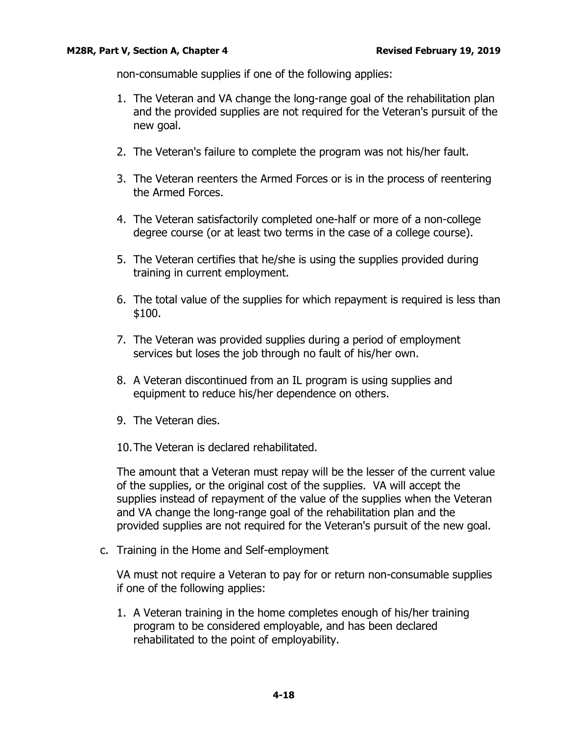non-consumable supplies if one of the following applies:

- 1. The Veteran and VA change the long-range goal of the rehabilitation plan and the provided supplies are not required for the Veteran's pursuit of the new goal.
- 2. The Veteran's failure to complete the program was not his/her fault.
- 3. The Veteran reenters the Armed Forces or is in the process of reentering the Armed Forces.
- 4. The Veteran satisfactorily completed one-half or more of a non-college degree course (or at least two terms in the case of a college course).
- 5. The Veteran certifies that he/she is using the supplies provided during training in current employment.
- 6. The total value of the supplies for which repayment is required is less than \$100.
- 7. The Veteran was provided supplies during a period of employment services but loses the job through no fault of his/her own.
- 8. A Veteran discontinued from an IL program is using supplies and equipment to reduce his/her dependence on others.
- 9. The Veteran dies.
- 10.The Veteran is declared rehabilitated.

The amount that a Veteran must repay will be the lesser of the current value of the supplies, or the original cost of the supplies. VA will accept the supplies instead of repayment of the value of the supplies when the Veteran and VA change the long-range goal of the rehabilitation plan and the provided supplies are not required for the Veteran's pursuit of the new goal.

<span id="page-19-0"></span>c. Training in the Home and Self-employment

VA must not require a Veteran to pay for or return non-consumable supplies if one of the following applies:

1. A Veteran training in the home completes enough of his/her training program to be considered employable, and has been declared rehabilitated to the point of employability.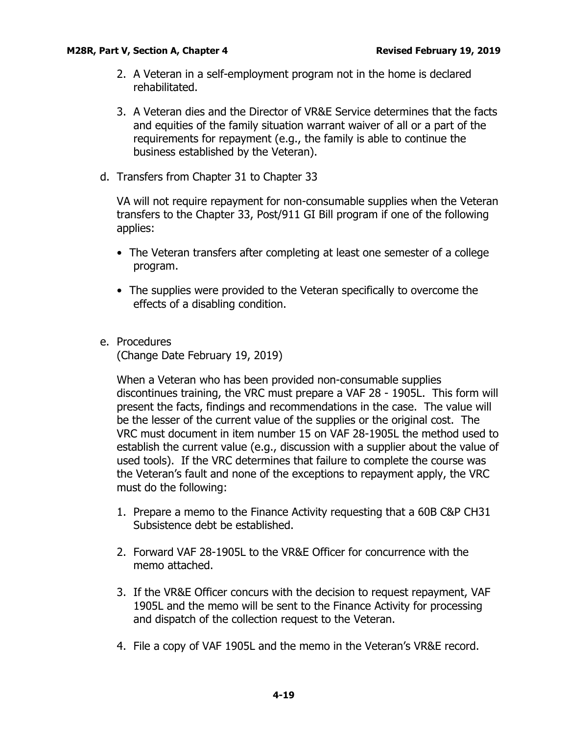- 2. A Veteran in a self-employment program not in the home is declared rehabilitated.
- 3. A Veteran dies and the Director of VR&E Service determines that the facts and equities of the family situation warrant waiver of all or a part of the requirements for repayment (e.g., the family is able to continue the business established by the Veteran).
- <span id="page-20-0"></span>d. Transfers from Chapter 31 to Chapter 33

VA will not require repayment for non-consumable supplies when the Veteran transfers to the Chapter 33, Post/911 GI Bill program if one of the following applies:

- The Veteran transfers after completing at least one semester of a college program.
- The supplies were provided to the Veteran specifically to overcome the effects of a disabling condition.
- <span id="page-20-1"></span>e. Procedures

(Change Date February 19, 2019)

When a Veteran who has been provided non-consumable supplies discontinues training, the VRC must prepare a VAF 28 - 1905L. This form will present the facts, findings and recommendations in the case. The value will be the lesser of the current value of the supplies or the original cost. The VRC must document in item number 15 on VAF 28-1905L the method used to establish the current value (e.g., discussion with a supplier about the value of used tools). If the VRC determines that failure to complete the course was the Veteran's fault and none of the exceptions to repayment apply, the VRC must do the following:

- 1. Prepare a memo to the Finance Activity requesting that a 60B C&P CH31 Subsistence debt be established.
- 2. Forward VAF 28-1905L to the VR&E Officer for concurrence with the memo attached.
- 3. If the VR&E Officer concurs with the decision to request repayment, VAF 1905L and the memo will be sent to the Finance Activity for processing and dispatch of the collection request to the Veteran.
- 4. File a copy of VAF 1905L and the memo in the Veteran's VR&E record.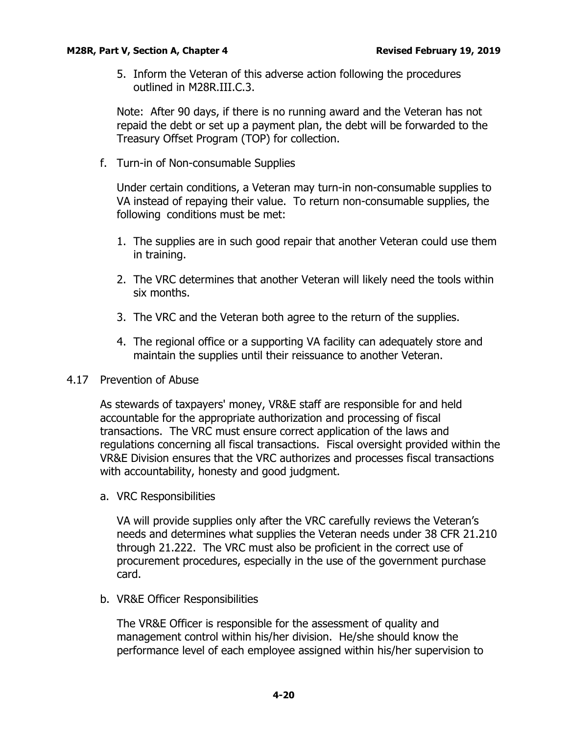5. Inform the Veteran of this adverse action following the procedures outlined in M28R.III.C.3.

Note: After 90 days, if there is no running award and the Veteran has not repaid the debt or set up a payment plan, the debt will be forwarded to the Treasury Offset Program (TOP) for collection.

<span id="page-21-0"></span>f. Turn-in of Non-consumable Supplies

Under certain conditions, a Veteran may turn-in non-consumable supplies to VA instead of repaying their value. To return non-consumable supplies, the following conditions must be met:

- 1. The supplies are in such good repair that another Veteran could use them in training.
- 2. The VRC determines that another Veteran will likely need the tools within six months.
- 3. The VRC and the Veteran both agree to the return of the supplies.
- 4. The regional office or a supporting VA facility can adequately store and maintain the supplies until their reissuance to another Veteran.

# <span id="page-21-1"></span>4.17 Prevention of Abuse

As stewards of taxpayers' money, VR&E staff are responsible for and held accountable for the appropriate authorization and processing of fiscal transactions. The VRC must ensure correct application of the laws and regulations concerning all fiscal transactions. Fiscal oversight provided within the VR&E Division ensures that the VRC authorizes and processes fiscal transactions with accountability, honesty and good judgment.

<span id="page-21-2"></span>a. VRC Responsibilities

VA will provide supplies only after the VRC carefully reviews the Veteran's needs and determines what supplies the Veteran needs under 38 CFR 21.210 through 21.222. The VRC must also be proficient in the correct use of procurement procedures, especially in the use of the government purchase card.

<span id="page-21-3"></span>b. VR&E Officer Responsibilities

The VR&E Officer is responsible for the assessment of quality and management control within his/her division. He/she should know the performance level of each employee assigned within his/her supervision to